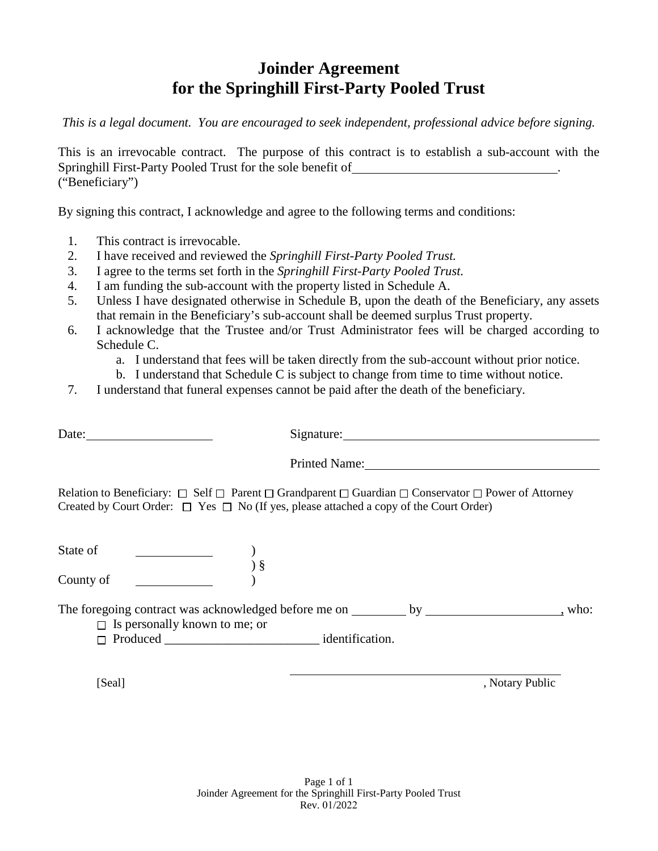## **Joinder Agreement for the Springhill First-Party Pooled Trust**

*This is a legal document. You are encouraged to seek independent, professional advice before signing.* 

This is an irrevocable contract. The purpose of this contract is to establish a sub-account with the Springhill First-Party Pooled Trust for the sole benefit of . ("Beneficiary")

By signing this contract, I acknowledge and agree to the following terms and conditions:

- 1. This contract is irrevocable.
- 2. I have received and reviewed the *Springhill First-Party Pooled Trust.*
- 3. I agree to the terms set forth in the *Springhill First-Party Pooled Trust.*
- 4. I am funding the sub-account with the property listed in Schedule A.
- 5. Unless I have designated otherwise in Schedule B, upon the death of the Beneficiary, any assets that remain in the Beneficiary's sub-account shall be deemed surplus Trust property.
- 6. I acknowledge that the Trustee and/or Trust Administrator fees will be charged according to Schedule C.
	- a. I understand that fees will be taken directly from the sub-account without prior notice.
	- b. I understand that Schedule C is subject to change from time to time without notice.
- 7. I understand that funeral expenses cannot be paid after the death of the beneficiary.

|                                                                         | Signature:                                                                                                                                                                                                                            |        |
|-------------------------------------------------------------------------|---------------------------------------------------------------------------------------------------------------------------------------------------------------------------------------------------------------------------------------|--------|
|                                                                         | Printed Name:                                                                                                                                                                                                                         |        |
|                                                                         | Relation to Beneficiary: $\Box$ Self $\Box$ Parent $\Box$ Grandparent $\Box$ Guardian $\Box$ Conservator $\Box$ Power of Attorney<br>Created by Court Order: $\Box$ Yes $\Box$ No (If yes, please attached a copy of the Court Order) |        |
| State of<br>)<br>) §<br>County of                                       |                                                                                                                                                                                                                                       |        |
| $\Box$ Is personally known to me; or<br>$\Box$ Produced identification. |                                                                                                                                                                                                                                       | , who: |

[Seal] , Notary Public , Notary Public , Notary Public , Notary Public , Notary Public , Notary Public , Notary Public , Notary Public , Notary Public , Notary Public , Notary Public , Notary Public , Notary Public , Notar